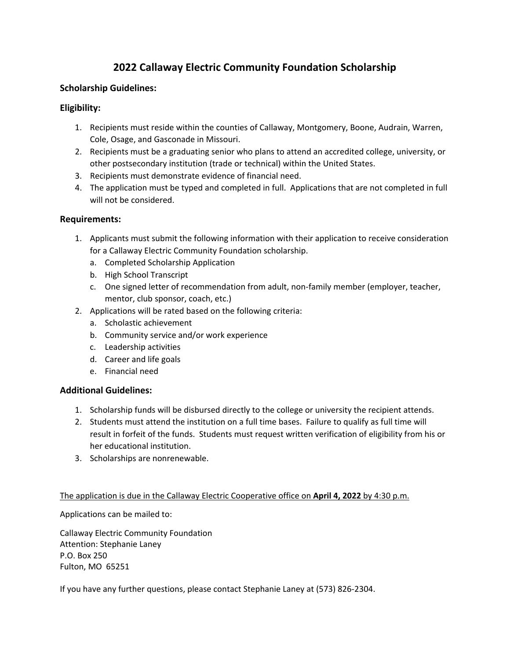## **2022 Callaway Electric Community Foundation Scholarship**

#### **Scholarship Guidelines:**

### **Eligibility:**

- 1. Recipients must reside within the counties of Callaway, Montgomery, Boone, Audrain, Warren, Cole, Osage, and Gasconade in Missouri.
- 2. Recipients must be a graduating senior who plans to attend an accredited college, university, or other postsecondary institution (trade or technical) within the United States.
- 3. Recipients must demonstrate evidence of financial need.
- 4. The application must be typed and completed in full. Applications that are not completed in full will not be considered.

#### **Requirements:**

- 1. Applicants must submit the following information with their application to receive consideration for a Callaway Electric Community Foundation scholarship.
	- a. Completed Scholarship Application
	- b. High School Transcript
	- c. One signed letter of recommendation from adult, non‐family member (employer, teacher, mentor, club sponsor, coach, etc.)
- 2. Applications will be rated based on the following criteria:
	- a. Scholastic achievement
	- b. Community service and/or work experience
	- c. Leadership activities
	- d. Career and life goals
	- e. Financial need

#### **Additional Guidelines:**

- 1. Scholarship funds will be disbursed directly to the college or university the recipient attends.
- 2. Students must attend the institution on a full time bases. Failure to qualify as full time will result in forfeit of the funds. Students must request written verification of eligibility from his or her educational institution.
- 3. Scholarships are nonrenewable.

#### The application is due in the Callaway Electric Cooperative office on **April 4, 2022** by 4:30 p.m.

Applications can be mailed to:

Callaway Electric Community Foundation Attention: Stephanie Laney P.O. Box 250 Fulton, MO 65251

If you have any further questions, please contact Stephanie Laney at (573) 826‐2304.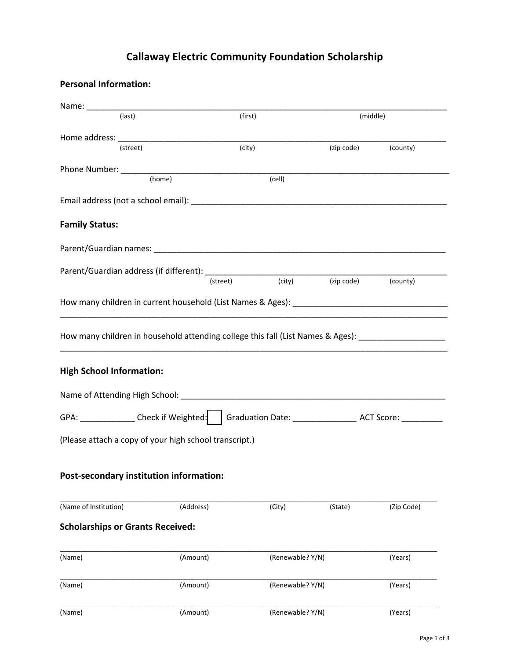# **Callaway Electric Community Foundation Scholarship**

**Personal Information:**

| (last)                                                 |           | (first)                                                                                                  |                     |            |
|--------------------------------------------------------|-----------|----------------------------------------------------------------------------------------------------------|---------------------|------------|
|                                                        |           |                                                                                                          | (middle)            |            |
|                                                        |           |                                                                                                          |                     |            |
| (street)                                               |           | (city)                                                                                                   | (zip code) (county) |            |
|                                                        |           |                                                                                                          |                     |            |
|                                                        |           | (cell)                                                                                                   |                     |            |
|                                                        |           |                                                                                                          |                     |            |
| <b>Family Status:</b>                                  |           |                                                                                                          |                     |            |
|                                                        |           |                                                                                                          |                     |            |
|                                                        |           |                                                                                                          |                     |            |
|                                                        |           | $\overline{(city)}$<br>(street)                                                                          | (zip code) (county) |            |
|                                                        |           |                                                                                                          |                     |            |
|                                                        |           | How many children in household attending college this fall (List Names & Ages): ___________________      |                     |            |
|                                                        |           |                                                                                                          |                     |            |
| <b>High School Information:</b>                        |           | GPA: ______________Check if Weighted:     Graduation Date: _____________________ ACT Score: ____________ |                     |            |
| (Please attach a copy of your high school transcript.) |           |                                                                                                          |                     |            |
| Post-secondary institution information:                |           |                                                                                                          |                     |            |
| (Name of Institution)                                  | (Address) | (City)                                                                                                   | (State)             | (Zip Code) |
| <b>Scholarships or Grants Received:</b>                |           |                                                                                                          |                     |            |
|                                                        | (Amount)  | (Renewable? Y/N)                                                                                         |                     | (Years)    |
| (Name)<br>(Name)                                       | (Amount)  | (Renewable? Y/N)                                                                                         |                     | (Years)    |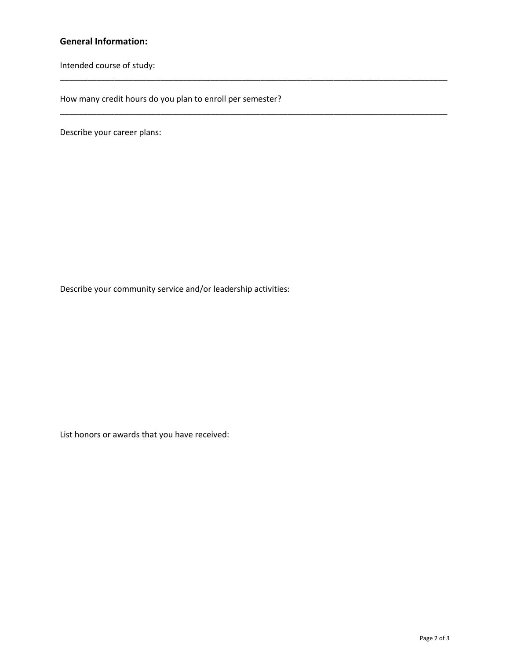#### **General Information:**

Intended course of study:

How many credit hours do you plan to enroll per semester?

\_\_\_\_\_\_\_\_\_\_\_\_\_\_\_\_\_\_\_\_\_\_\_\_\_\_\_\_\_\_\_\_\_\_\_\_\_\_\_\_\_\_\_\_\_\_\_\_\_\_\_\_\_\_\_\_\_\_\_\_\_\_\_\_\_\_\_\_\_\_\_\_\_\_\_\_\_\_\_\_\_\_\_\_\_

\_\_\_\_\_\_\_\_\_\_\_\_\_\_\_\_\_\_\_\_\_\_\_\_\_\_\_\_\_\_\_\_\_\_\_\_\_\_\_\_\_\_\_\_\_\_\_\_\_\_\_\_\_\_\_\_\_\_\_\_\_\_\_\_\_\_\_\_\_\_\_\_\_\_\_\_\_\_\_\_\_\_\_\_\_

Describe your career plans:

Describe your community service and/or leadership activities:

List honors or awards that you have received: